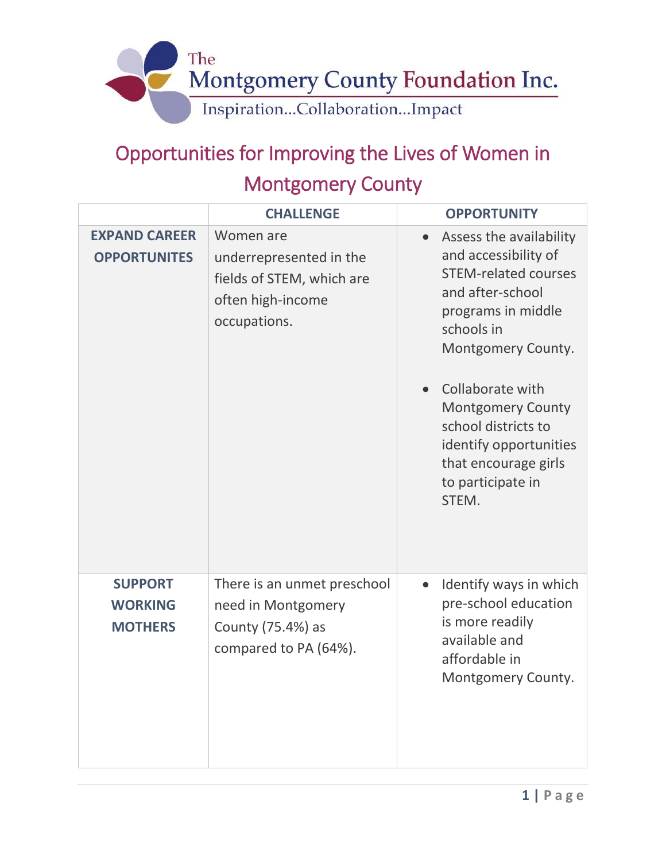

## Opportunities for Improving the Lives of Women in Montgomery County

|                                                    | <b>CHALLENGE</b>                                                                                       | <b>OPPORTUNITY</b>                                                                                                                                                                                                                                                                                                  |
|----------------------------------------------------|--------------------------------------------------------------------------------------------------------|---------------------------------------------------------------------------------------------------------------------------------------------------------------------------------------------------------------------------------------------------------------------------------------------------------------------|
| <b>EXPAND CAREER</b><br><b>OPPORTUNITES</b>        | Women are<br>underrepresented in the<br>fields of STEM, which are<br>often high-income<br>occupations. | Assess the availability<br>and accessibility of<br><b>STEM-related courses</b><br>and after-school<br>programs in middle<br>schools in<br>Montgomery County.<br>Collaborate with<br><b>Montgomery County</b><br>school districts to<br>identify opportunities<br>that encourage girls<br>to participate in<br>STEM. |
| <b>SUPPORT</b><br><b>WORKING</b><br><b>MOTHERS</b> | There is an unmet preschool<br>need in Montgomery<br>County (75.4%) as<br>compared to PA (64%).        | Identify ways in which<br>pre-school education<br>is more readily<br>available and<br>affordable in<br>Montgomery County.                                                                                                                                                                                           |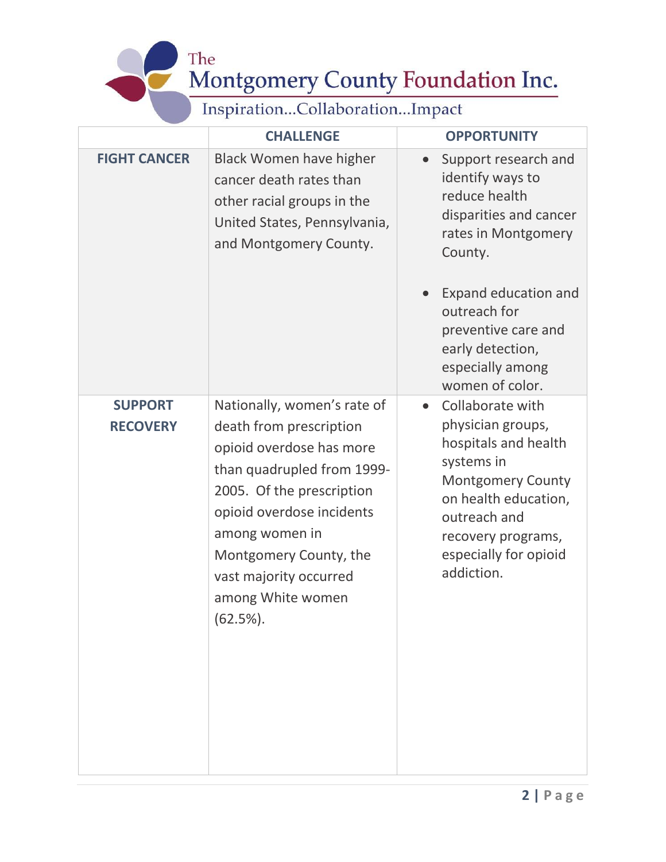The Montgomery County Foundation Inc.

Inspiration...Collaboration...Impact

 $\ddot{\phantom{0}}$ 

|                                   | <b>CHALLENGE</b>                                                                                                                                                                                                                                                                     | <b>OPPORTUNITY</b>                                                                                                                                                                                                        |
|-----------------------------------|--------------------------------------------------------------------------------------------------------------------------------------------------------------------------------------------------------------------------------------------------------------------------------------|---------------------------------------------------------------------------------------------------------------------------------------------------------------------------------------------------------------------------|
| <b>FIGHT CANCER</b>               | <b>Black Women have higher</b><br>cancer death rates than<br>other racial groups in the<br>United States, Pennsylvania,<br>and Montgomery County.                                                                                                                                    | Support research and<br>identify ways to<br>reduce health<br>disparities and cancer<br>rates in Montgomery<br>County.                                                                                                     |
|                                   |                                                                                                                                                                                                                                                                                      | <b>Expand education and</b><br>outreach for<br>preventive care and<br>early detection,<br>especially among<br>women of color.                                                                                             |
| <b>SUPPORT</b><br><b>RECOVERY</b> | Nationally, women's rate of<br>death from prescription<br>opioid overdose has more<br>than quadrupled from 1999-<br>2005. Of the prescription<br>opioid overdose incidents<br>among women in<br>Montgomery County, the<br>vast majority occurred<br>among White women<br>$(62.5\%).$ | Collaborate with<br>$\bullet$<br>physician groups,<br>hospitals and health<br>systems in<br><b>Montgomery County</b><br>on health education,<br>outreach and<br>recovery programs,<br>especially for opioid<br>addiction. |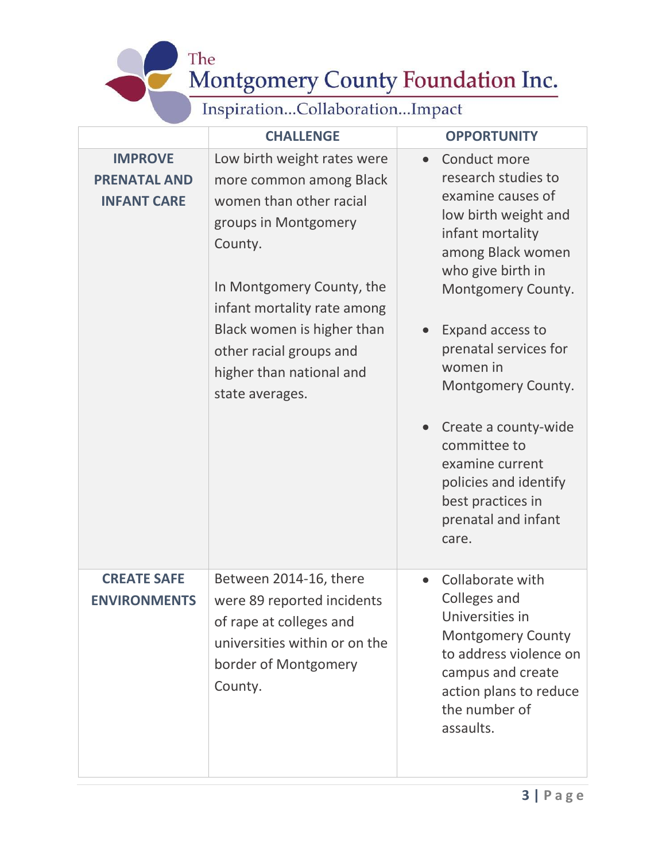The Montgomery County Foundation Inc.

## Inspiration...Collaboration...Impact

|                                                             | <b>CHALLENGE</b>                                                                                                                                                                                                                                                                         | <b>OPPORTUNITY</b>                                                                                                                                                                                                                                                                                                                                                                           |
|-------------------------------------------------------------|------------------------------------------------------------------------------------------------------------------------------------------------------------------------------------------------------------------------------------------------------------------------------------------|----------------------------------------------------------------------------------------------------------------------------------------------------------------------------------------------------------------------------------------------------------------------------------------------------------------------------------------------------------------------------------------------|
| <b>IMPROVE</b><br><b>PRENATAL AND</b><br><b>INFANT CARE</b> | Low birth weight rates were<br>more common among Black<br>women than other racial<br>groups in Montgomery<br>County.<br>In Montgomery County, the<br>infant mortality rate among<br>Black women is higher than<br>other racial groups and<br>higher than national and<br>state averages. | Conduct more<br>research studies to<br>examine causes of<br>low birth weight and<br>infant mortality<br>among Black women<br>who give birth in<br>Montgomery County.<br>Expand access to<br>prenatal services for<br>women in<br>Montgomery County.<br>Create a county-wide<br>committee to<br>examine current<br>policies and identify<br>best practices in<br>prenatal and infant<br>care. |
| <b>CREATE SAFE</b><br><b>ENVIRONMENTS</b>                   | Between 2014-16, there<br>were 89 reported incidents<br>of rape at colleges and<br>universities within or on the<br>border of Montgomery<br>County.                                                                                                                                      | Collaborate with<br>$\bullet$<br>Colleges and<br>Universities in<br><b>Montgomery County</b><br>to address violence on<br>campus and create<br>action plans to reduce<br>the number of<br>assaults.                                                                                                                                                                                          |